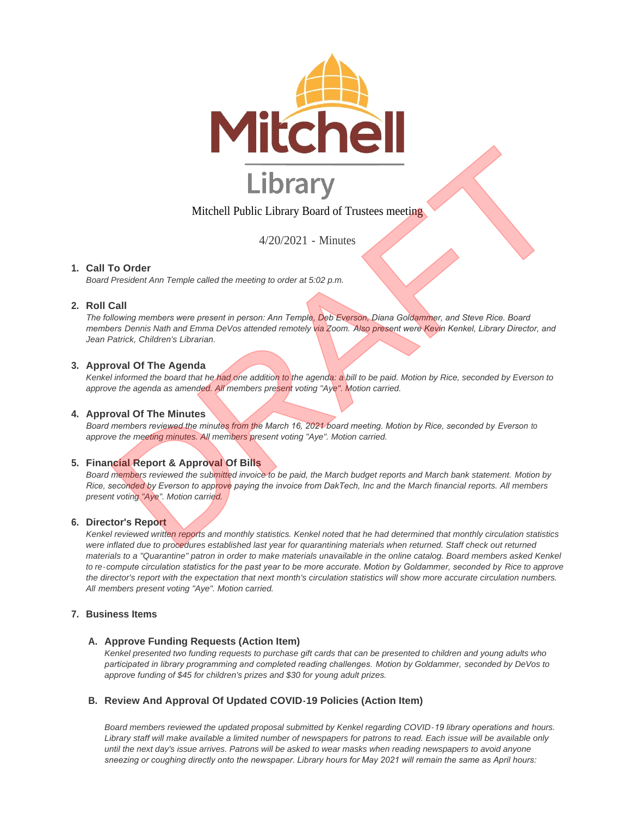

# Mitchell Public Library Board of Trustees meeting

4/20/2021 - Minutes

# **Call To Order 1.**

*Board President Ann Temple called the meeting to order at 5:02 p.m.* 

# **Roll Call 2.**

*The following members were present in person: Ann Temple, Deb Everson, Diana Goldammer, and Steve Rice. Board members Dennis Nath and Emma DeVos attended remotely via Zoom. Also present were Kevin Kenkel, Library Director, and Jean Patrick, Children's Librarian.* Michell Public Library Board of Trustees meeting<br>
To Order<br>
The Content Ann Temple called the meeting to order at 5:02 p.m.<br>
Call Public Library Board of Trustees meeting<br>
To Order<br>
The members were present in person: Ann

## **Approval Of The Agenda 3.**

*Kenkel informed the board that he had one addition to the agenda: a bill to be paid. Motion by Rice, seconded by Everson to approve the agenda as amended. All members present voting "Aye". Motion carried.*

#### **4. Approval Of The Minutes**

*Board members reviewed the minutes from the March 16, 2021 board meeting. Motion by Rice, seconded by Everson to approve the meeting minutes. All members present voting "Aye". Motion carried.*

# **Financial Report & Approval Of Bills 5.**

*Board members reviewed the submitted invoice to be paid, the March budget reports and March bank statement. Motion by Rice, seconded by Everson to approve paying the invoice from DakTech, Inc and the March financial reports. All members present voting "Aye". Motion carried.*

## **Director's Report 6.**

*Kenkel reviewed written reports and monthly statistics. Kenkel noted that he had determined that monthly circulation statistics*  were inflated due to procedures established last year for quarantining materials when returned. Staff check out returned *materials to a "Quarantine" patron in order to make materials unavailable in the online catalog. Board members asked Kenkel to re-compute circulation statistics for the past year to be more accurate. Motion by Goldammer, seconded by Rice to approve the director's report with the expectation that next month's circulation statistics will show more accurate circulation numbers. All members present voting "Aye". Motion carried.*

## **Business Items 7.**

## A. Approve Funding Requests (Action Item)

*Kenkel presented two funding requests to purchase gift cards that can be presented to children and young adults who participated in library programming and completed reading challenges. Motion by Goldammer, seconded by DeVos to approve funding of \$45 for children's prizes and \$30 for young adult prizes.*

## **Review And Approval Of Updated COVID-19 Policies (Action Item) B.**

*Board members reviewed the updated proposal submitted by Kenkel regarding COVID-19 library operations and hours. Library staff will make available a limited number of newspapers for patrons to read. Each issue will be available only until the next day's issue arrives. Patrons will be asked to wear masks when reading newspapers to avoid anyone sneezing or coughing directly onto the newspaper. Library hours for May 2021 will remain the same as April hours:*